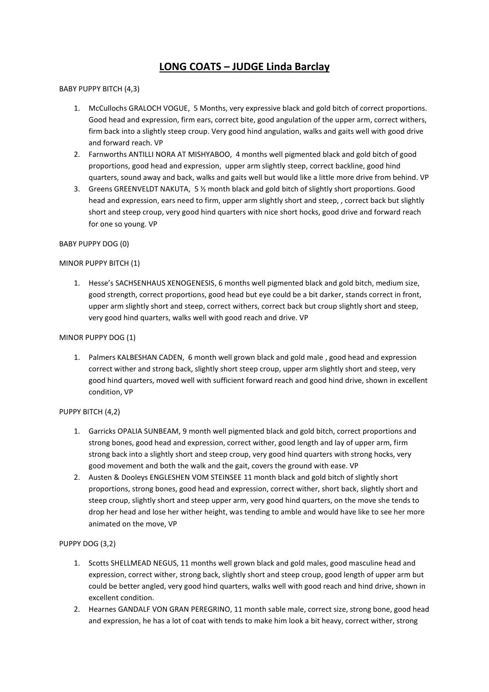# **LONG COATS – JUDGE Linda Barclay**

# BABY PUPPY BITCH (4,3)

- 1. McCullochs GRALOCH VOGUE, 5 Months, very expressive black and gold bitch of correct proportions. Good head and expression, firm ears, correct bite, good angulation of the upper arm, correct withers, firm back into a slightly steep croup. Very good hind angulation, walks and gaits well with good drive and forward reach. VP
- 2. Farnworths ANTILLI NORA AT MISHYABOO, 4 months well pigmented black and gold bitch of good proportions, good head and expression, upper arm slightly steep, correct backline, good hind quarters, sound away and back, walks and gaits well but would like a little more drive from behind. VP
- 3. Greens GREENVELDT NAKUTA, 5 ½ month black and gold bitch of slightly short proportions. Good head and expression, ears need to firm, upper arm slightly short and steep, , correct back but slightly short and steep croup, very good hind quarters with nice short hocks, good drive and forward reach for one so young. VP

## BABY PUPPY DOG (0)

## MINOR PUPPY BITCH (1)

1. Hesse's SACHSENHAUS XENOGENESIS, 6 months well pigmented black and gold bitch, medium size, good strength, correct proportions, good head but eye could be a bit darker, stands correct in front, upper arm slightly short and steep, correct withers, correct back but croup slightly short and steep, very good hind quarters, walks well with good reach and drive. VP

#### MINOR PUPPY DOG (1)

1. Palmers KALBESHAN CADEN, 6 month well grown black and gold male , good head and expression correct wither and strong back, slightly short steep croup, upper arm slightly short and steep, very good hind quarters, moved well with sufficient forward reach and good hind drive, shown in excellent condition, VP

#### PUPPY BITCH (4,2)

- 1. Garricks OPALIA SUNBEAM, 9 month well pigmented black and gold bitch, correct proportions and strong bones, good head and expression, correct wither, good length and lay of upper arm, firm strong back into a slightly short and steep croup, very good hind quarters with strong hocks, very good movement and both the walk and the gait, covers the ground with ease. VP
- 2. Austen & Dooleys ENGLESHEN VOM STEINSEE 11 month black and gold bitch of slightly short proportions, strong bones, good head and expression, correct wither, short back, slightly short and steep croup, slightly short and steep upper arm, very good hind quarters, on the move she tends to drop her head and lose her wither height, was tending to amble and would have like to see her more animated on the move, VP

# PUPPY DOG (3,2)

- 1. Scotts SHELLMEAD NEGUS, 11 months well grown black and gold males, good masculine head and expression, correct wither, strong back, slightly short and steep croup, good length of upper arm but could be better angled, very good hind quarters, walks well with good reach and hind drive, shown in excellent condition.
- 2. Hearnes GANDALF VON GRAN PEREGRINO, 11 month sable male, correct size, strong bone, good head and expression, he has a lot of coat with tends to make him look a bit heavy, correct wither, strong